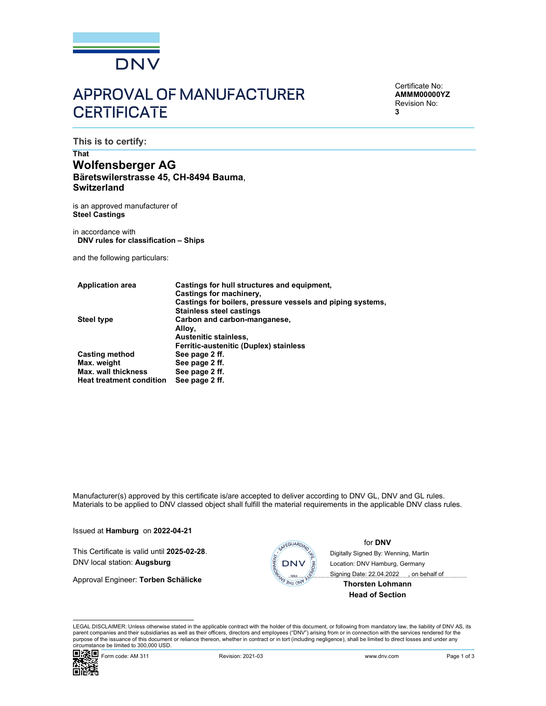

# APPROVAL OF MANUFACTURER **CERTIFICATE**

Certificate No: AMMM00000YZ Revision No: 3

This is to certify:

# That Wolfensberger AG<br>Bäretswilerstrasse 45, CH-8494 Bauma, **Switzerland**

is an approved manufacturer of Steel Castings

in accordance with DNV rules for classification – Ships

and the following particulars:

| <b>Application area</b>         | Castings for hull structures and equipment.                |
|---------------------------------|------------------------------------------------------------|
|                                 | Castings for machinery.                                    |
|                                 | Castings for boilers, pressure vessels and piping systems, |
|                                 | <b>Stainless steel castings</b>                            |
| Steel type                      | Carbon and carbon-manganese,                               |
|                                 | Alloy,                                                     |
|                                 | Austenitic stainless,                                      |
|                                 | Ferritic-austenitic (Duplex) stainless                     |
| <b>Casting method</b>           | See page 2 ff.                                             |
| Max. weight                     | See page 2 ff.                                             |
| <b>Max. wall thickness</b>      | See page 2 ff.                                             |
| <b>Heat treatment condition</b> | See page 2 ff.                                             |

Manufacturer(s) approved by this certificate is/are accepted to deliver according to DNV GL, DNV and GL rules. Materials to be applied to DNV classed object shall fulfill the material requirements in the applicable DNV class rules.

Issued at **Hamburg** on 2022-04-21<br>
This Certificate is valid until 2025-02-28. DNV local station: Augsburg and Digital station: Augsburg and Digital station: Augsburg and Digital Station: Augsburg and Digital station: Aug

Approval Engineer: Torben Schälicke



### for DNV

Digitally Signed By: Wenning, Martin Location: DNV Hamburg, Germany

 Signing Date: 22.04.2022 , on behalf ofThorsten Lohmann

Head of Section

turer(s) approved by this certificate is/are accepted to deliver according to DNV GL, DNV and GL rules.<br>
To be applicate ONV class rules.<br> **Hamburg** on 2022-04-21<br>
Ifficate is valid until 2025-02-28.<br>
If incident is valid LEGAL DISCLAIMER: Unless otherwise stated in the applicable contract with the holder of this document, or following from mandatory law, the liability of DNV AS, its parent companies and their subsidiaries as well as their officers, directors and employees ("DNV") arising from or in connection with the services rendered for the purpose of the issuance of this document or reliance thereon, whether in contract or in tort (including negligence), shall be limited to direct losses and under any circumstance be limited to 300,000 USD.

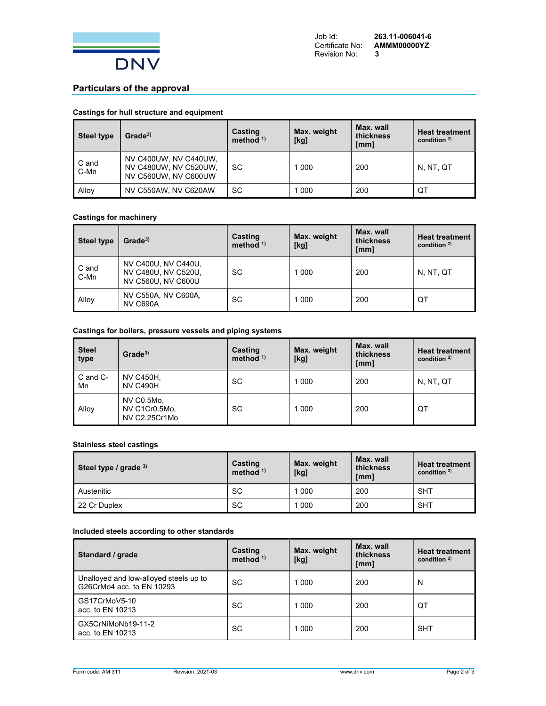

## Particulars of the approval

#### Castings for hull structure and equipment

| <b>Steel type</b> | Grade <sup>3</sup>                                                     | Casting<br>method $1$ | Max. weight<br>[kg] | Max. wall<br>thickness<br>[mm] | <b>Heat treatment</b><br>condition $2$ |
|-------------------|------------------------------------------------------------------------|-----------------------|---------------------|--------------------------------|----------------------------------------|
| C and<br>C-Mn     | NV C400UW, NV C440UW,<br>NV C480UW, NV C520UW,<br>NV C560UW, NV C600UW | <b>SC</b>             | 000                 | 200                            | N, NT, QT                              |
| Alloy             | NV C550AW, NV C620AW                                                   | <b>SC</b>             | 000                 | 200                            | QT                                     |

#### Castings for machinery

| Steel type    | Grade <sup>3</sup>                                               | Casting<br>method $1$ | Max. weight<br>[kg] | Max. wall<br>thickness<br>[mm] | <b>Heat treatment</b><br>condition $2$ |
|---------------|------------------------------------------------------------------|-----------------------|---------------------|--------------------------------|----------------------------------------|
| C and<br>C-Mn | NV C400U, NV C440U,<br>NV C480U, NV C520U,<br>NV C560U, NV C600U | SC                    | 1 0 0 0             | 200                            | N, NT, QT                              |
| Alloy         | NV C550A, NV C600A,<br><b>NV C690A</b>                           | SC                    | $\overline{000}$    | 200                            | QT                                     |

#### Castings for boilers, pressure vessels and piping systems

| <b>Steel</b><br>type | Grade <sup>3</sup>                           | Casting<br>method $1$ | Max. weight<br>[kg] | Max. wall<br>thickness<br>[mm] | <b>Heat treatment</b><br>condition $2$ ) |
|----------------------|----------------------------------------------|-----------------------|---------------------|--------------------------------|------------------------------------------|
| C and C-<br>Mn       | <b>NV C450H,</b><br><b>NV C490H</b>          | SC                    | 1 000               | 200                            | N, NT, QT                                |
| Alloy                | NV C0.5Mo,<br>NV C1Cr0.5Mo,<br>NV C2.25Cr1Mo | <b>SC</b>             | 1 0 0 0             | 200                            | QT                                       |

#### Stainless steel castings

| Steel type / grade 3) | Casting<br>method $1$ | Max. weight<br>[kg] | Max. wall<br>thickness<br>[mm] | <b>Heat treatment</b><br>condition $2$ |
|-----------------------|-----------------------|---------------------|--------------------------------|----------------------------------------|
| Austenitic            | <b>SC</b>             | 000                 | 200                            | <b>SHT</b>                             |
| 22 Cr Duplex          | <b>SC</b>             | 000                 | 200                            | <b>SHT</b>                             |

#### Included steels according to other standards

| Standard / grade                                                    | <b>Casting</b><br>method $1$ ) | Max. weight<br>[kg] | Max. wall<br>thickness<br>[mm] | <b>Heat treatment</b><br>condition $2$ |
|---------------------------------------------------------------------|--------------------------------|---------------------|--------------------------------|----------------------------------------|
| Unalloyed and low-alloyed steels up to<br>G26CrMo4 acc. to EN 10293 | <b>SC</b>                      | 1 0 0 0             | 200                            | N                                      |
| GS17CrMoV5-10<br>acc. to EN 10213                                   | <b>SC</b>                      | 1 0 0 0             | 200                            | QT                                     |
| GX5CrNiMoNb19-11-2<br>acc. to EN 10213                              | <b>SC</b>                      | 1 0 0 0             | 200                            | <b>SHT</b>                             |